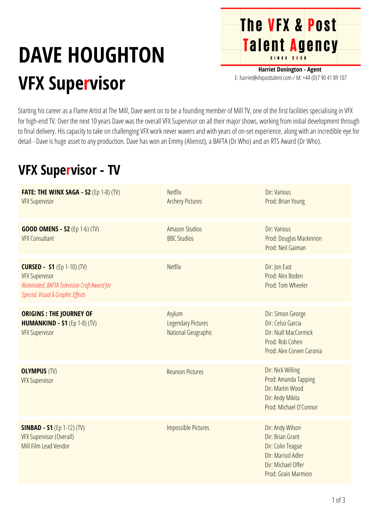## **DAVE HOUGHTON VFX Supervisor**

**Harriet Donington - Agent** E: harriet@vfxposttalent.com / M:+44(0)7904189107

**The VFX & Post** 

Talent Agency

Starting his career as a Flame Artist at The Mill, Dave went on to be a founding member of Mill TV, one of the first facilities specialising in VFX for high-end TV. Over the next 10 years Dave was the overall VFX Supervisor on all their major shows, working from initial development through to final delivery. His capacity to take on challenging VFX work never wavers and with years of on-set experience, along with an incredible eye for detail - Dave is huge asset to any production. Dave has won an Emmy (Alienist), a BAFTA (Dr Who) and an RTS Award (Dr Who).

## **VFX Supervisor - TV**

| <b>FATE: THE WINX SAGA - S2 (Ep 1-8) (TV)</b><br><b>VFX Supervisor</b>                                                                         | <b>Netflix</b><br><b>Archery Pictures</b>                  | Dir: Various<br>Prod: Brian Young                                                                                            |
|------------------------------------------------------------------------------------------------------------------------------------------------|------------------------------------------------------------|------------------------------------------------------------------------------------------------------------------------------|
| <b>GOOD OMENS - S2 (Ep 1-6) (TV)</b><br><b>VFX Consultant</b>                                                                                  | <b>Amazon Studios</b><br><b>BBC Studios</b>                | Dir: Various<br>Prod: Douglas Mackinnon<br>Prod: Neil Gaiman                                                                 |
| <b>CURSED - S1</b> (Ep 1-10) (TV)<br><b>VFX Supervisor</b><br>Nominated, BAFTA Television Craft Award for<br>Special, Visual & Graphic Effects | <b>Netflix</b>                                             | Dir: Jon East<br>Prod: Alex Boden<br>Prod: Tom Wheeler                                                                       |
| <b>ORIGINS : THE JOURNEY OF</b><br><b>HUMANKIND - S1 (Ep 1-8) (TV)</b><br><b>VFX Supervisor</b>                                                | Asylum<br><b>Legendary Pictures</b><br>National Geographic | Dir: Simon George<br>Dir: Celso Garcia<br>Dir: Niall MacCormick<br>Prod: Rob Cohen<br>Prod: Alex Corven Caronia              |
| <b>OLYMPUS (TV)</b><br><b>VFX Supervisor</b>                                                                                                   | <b>Reunion Pictures</b>                                    | Dir: Nick Willing<br>Prod: Amanda Tapping<br>Dir: Martin Wood<br>Dir: Andy Mikita<br>Prod: Michael O'Connor                  |
| <b>SINBAD - S1</b> (Ep 1-12) (TV)<br><b>VFX Supervisor (Overall)</b><br>Mill Film Lead Vendor                                                  | <b>Impossible Pictures</b>                                 | Dir: Andy Wilson<br>Dir: Brian Grant<br>Dir: Colin Teague<br>DIr: Marisol Adler<br>Dir: Michael Offer<br>Prod: Grain Marmion |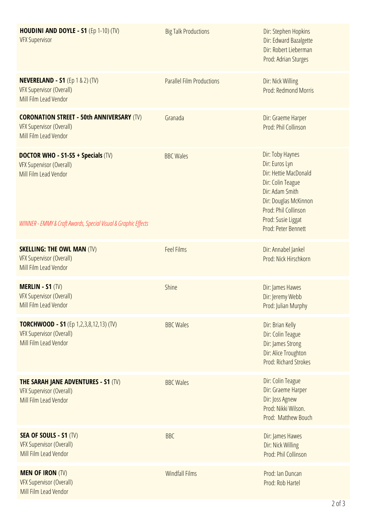| <b>HOUDINI AND DOYLE - S1 (Ep 1-10) (TV)</b><br><b>VFX Supervisor</b>                                                                                                   | <b>Big Talk Productions</b>      | Dir: Stephen Hopkins<br>Dir: Edward Bazalgette<br>Dir: Robert Lieberman<br>Prod: Adrian Sturges                                                                                                   |
|-------------------------------------------------------------------------------------------------------------------------------------------------------------------------|----------------------------------|---------------------------------------------------------------------------------------------------------------------------------------------------------------------------------------------------|
| <b>NEVERELAND - S1</b> (Ep 1 & 2) (TV)<br><b>VFX Supervisor (Overall)</b><br>Mill Film Lead Vendor                                                                      | <b>Parallel Film Productions</b> | Dir: Nick Willing<br>Prod: Redmond Morris                                                                                                                                                         |
| <b>CORONATION STREET - 50th ANNIVERSARY (TV)</b><br><b>VFX Supervisor (Overall)</b><br>Mill Film Lead Vendor                                                            | Granada                          | Dir: Graeme Harper<br>Prod: Phil Collinson                                                                                                                                                        |
| <b>DOCTOR WHO - S1-S5 + Specials (TV)</b><br><b>VFX Supervisor (Overall)</b><br>Mill Film Lead Vendor<br>WINNER - EMMY & Craft Awards, Special Visual & Graphic Effects | <b>BBC Wales</b>                 | Dir: Toby Haynes<br>Dir: Euros Lyn<br>Dir: Hettie MacDonald<br>Dir: Colin Teague<br>Dir: Adam Smith<br>Dir: Douglas McKinnon<br>Prod: Phil Collinson<br>Prod: Susie Liggat<br>Prod: Peter Bennett |
| <b>SKELLING: THE OWL MAN (TV)</b><br><b>VFX Supervisor (Overall)</b><br>Mill Film Lead Vendor                                                                           | <b>Feel Films</b>                | Dir: Annabel Jankel<br>Prod: Nick Hirschkorn                                                                                                                                                      |
| <b>MERLIN - S1 (TV)</b><br><b>VFX Supervisor (Overall)</b><br>Mill Film Lead Vendor                                                                                     | Shine                            | Dir: James Hawes<br>Dir: Jeremy Webb<br>Prod: Julian Murphy                                                                                                                                       |
| <b>TORCHWOOD - S1</b> (Ep 1,2,3,8,12,13) (TV)<br><b>VFX Supervisor (Overall)</b><br>Mill Film Lead Vendor                                                               | <b>BBC Wales</b>                 | Dir: Brian Kelly<br>Dir: Colin Teague<br>Dir: James Strong<br>Dir: Alice Troughton<br><b>Prod: Richard Strokes</b>                                                                                |
| <b>THE SARAH JANE ADVENTURES - S1 (TV)</b><br><b>VFX Supervisor (Overall)</b><br>Mill Film Lead Vendor                                                                  | <b>BBC Wales</b>                 | Dir: Colin Teague<br>Dir: Graeme Harper<br>Dir: Joss Agnew<br>Prod: Nikki Wilson.<br>Prod: Matthew Bouch                                                                                          |
| <b>SEA OF SOULS - S1 (TV)</b><br><b>VFX Supervisor (Overall)</b><br>Mill Film Lead Vendor                                                                               | <b>BBC</b>                       | Dir: James Hawes<br>Dir: Nick Willing<br>Prod: Phil Collinson                                                                                                                                     |
| <b>MEN OF IRON (TV)</b><br><b>VFX Supervisor (Overall)</b><br>Mill Film Lead Vendor                                                                                     | <b>Windfall Films</b>            | Prod: Ian Duncan<br>Prod: Rob Hartel                                                                                                                                                              |